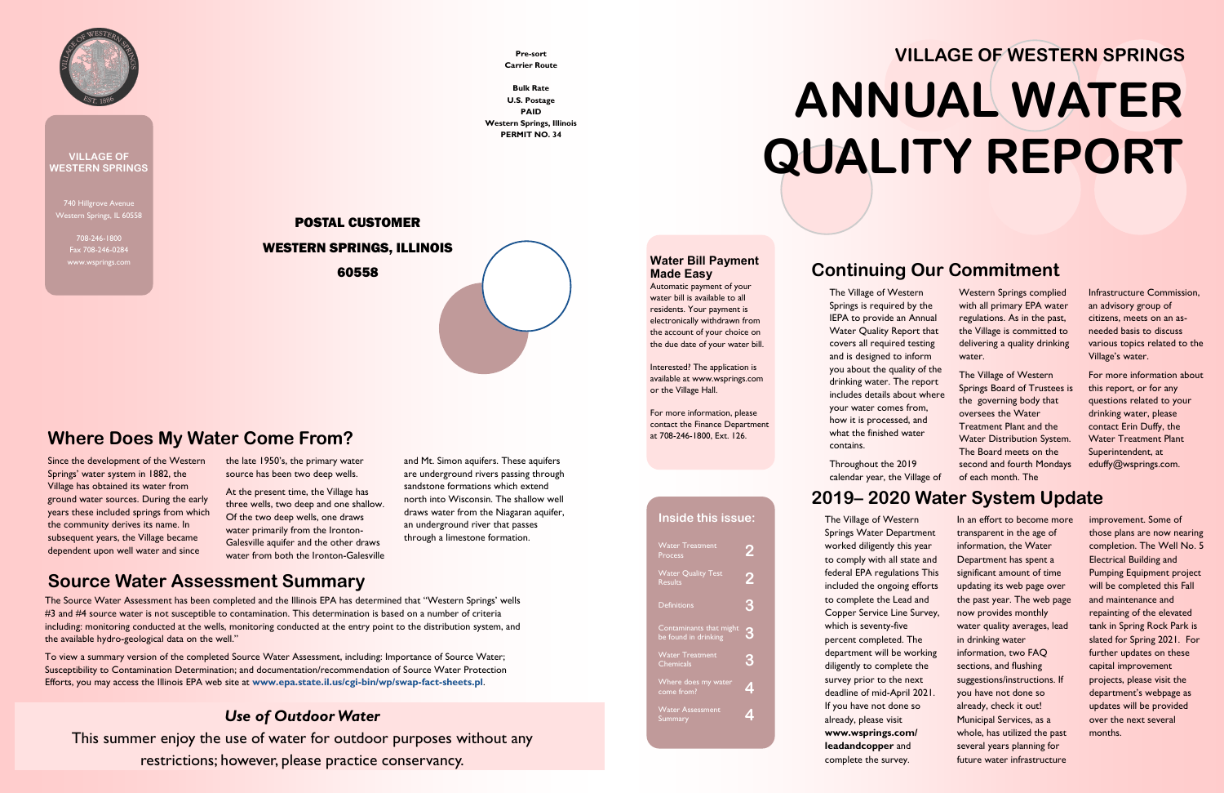740 Hillgrove Avenue Western Springs, IL 60558

> 708-246-1800 Fax 708-246-0284



#### **VILLAGE OF WESTERN SPRINGS**

#### **Continuing Our Commitment**

The Village of Western Springs is required by the IEPA to provide an Annual Water Quality Report that covers all required testing and is designed to inform you about the quality of the drinking water. The report includes details about where your water comes from, how it is processed, and what the finished water contains.

Throughout the 2019 calendar year, the Village of

Western Springs complied with all primary EPA water regulations. As in the past, the Village is committed to delivering a quality drinking water.

The Village of Western Springs Board of Trustees is the governing body that oversees the Water Treatment Plant and the Water Distribution System. The Board meets on the second and fourth Mondays of each month. The

Infrastructure Commission, an advisory group of citizens, meets on an asneeded basis to discuss various topics related to the Village's water.

For more information about this report, or for any questions related to your drinking water, please contact Erin Duffy, the Water Treatment Plant Superintendent, at eduffy@wsprings.com.

# **2019– 2020 Water System Update**

| <b>Water Treatment</b><br>Process               |   |
|-------------------------------------------------|---|
| <b>Water Quality Test</b><br><b>Results</b>     | 2 |
| <b>Definitions</b>                              | 3 |
| Contaminants that might<br>be found in drinking | 3 |
| <b>Water Treatment</b><br><b>Chemicals</b>      | 3 |
| Where does my water<br>come from?               |   |
| <b>Water Assessment</b><br>Summary              |   |
|                                                 |   |

The Village of Western Springs Water Department worked diligently this year to comply with all state and federal EPA regulations This included the ongoing efforts to complete the Lead and Copper Service Line Survey, which is seventy-five percent completed. The department will be working diligently to complete the survey prior to the next deadline of mid-April 2021. If you have not done so already, please visit **www.wsprings.com/ leadandcopper** and complete the survey.

In an effort to become more transparent in the age of information, the Water Department has spent a significant amount of time updating its web page over the past year. The web page now provides monthly water quality averages, lead in drinking water information, two FAQ sections, and flushing suggestions/instructions. If you have not done so already, check it out! Municipal Services, as a whole, has utilized the past several years planning for future water infrastructure

improvement. Some of those plans are now nearing completion. The Well No. 5 Electrical Building and Pumping Equipment project will be completed this Fall and maintenance and repainting of the elevated tank in Spring Rock Park is slated for Spring 2021. For further updates on these capital improvement projects, please visit the department's webpage as updates will be provided over the next several months.

# **VILLAGE OF WESTERN SPRINGS ANNUAL WATER QUALITY REPORT**

#### **Inside this issue:**

#### **Water Bill Payment Made Easy**

Automatic payment of your water bill is available to all residents. Your payment is electronically withdrawn from the account of your choice on the due date of your water bill.

Interested? The application is available at www.wsprings.com or the Village Hall.

For more information, please contact the Finance Department at 708-246-1800, Ext. 126.

Since the development of the Western Springs' water system in 1882, the Village has obtained its water from ground water sources. During the early years these included springs from which the community derives its name. In subsequent years, the Village became dependent upon well water and since

the late 1950's, the primary water source has been two deep wells.

At the present time, the Village has three wells, two deep and one shallow. Of the two deep wells, one draws water primarily from the Ironton-Galesville aquifer and the other draws water from both the Ironton-Galesville and Mt. Simon aquifers. These aquifers are underground rivers passing through sandstone formations which extend north into Wisconsin. The shallow well draws water from the Niagaran aquifer, an underground river that passes through a limestone formation.

#### **Where Does My Water Come From?**

**Pre-sort Carrier Route**

**Bulk Rate U.S. Postage PAID Western Springs, Illinois PERMIT NO. 34**

#### POSTAL CUSTOMER WESTERN SPRINGS, ILLINOIS 60558

#### **Source Water Assessment Summary**

The Source Water Assessment has been completed and the Illinois EPA has determined that "Western Springs' wells #3 and #4 source water is not susceptible to contamination. This determination is based on a number of criteria including: monitoring conducted at the wells, monitoring conducted at the entry point to the distribution system, and the available hydro-geological data on the well."

To view a summary version of the completed Source Water Assessment, including: Importance of Source Water; Susceptibility to Contamination Determination; and documentation/recommendation of Source Water Protection Efforts, you may access the Illinois EPA web site at **www.epa.state.il.us/cgi-bin/wp/swap-fact-sheets.pl**.

#### *Use of Outdoor Water*

This summer enjoy the use of water for outdoor purposes without any restrictions; however, please practice conservancy.